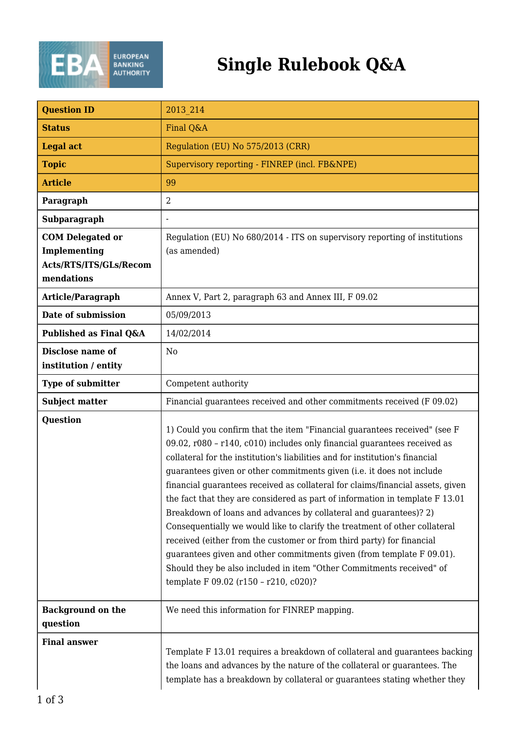

## **Single Rulebook Q&A**

| <b>Question ID</b>                                                              | 2013 214                                                                                                                                                                                                                                                                                                                                                                                                                                                                                                                                                                                                                                                                                                                                                                                                                                                                                               |
|---------------------------------------------------------------------------------|--------------------------------------------------------------------------------------------------------------------------------------------------------------------------------------------------------------------------------------------------------------------------------------------------------------------------------------------------------------------------------------------------------------------------------------------------------------------------------------------------------------------------------------------------------------------------------------------------------------------------------------------------------------------------------------------------------------------------------------------------------------------------------------------------------------------------------------------------------------------------------------------------------|
| <b>Status</b>                                                                   | Final Q&A                                                                                                                                                                                                                                                                                                                                                                                                                                                                                                                                                                                                                                                                                                                                                                                                                                                                                              |
| <b>Legal act</b>                                                                | Regulation (EU) No 575/2013 (CRR)                                                                                                                                                                                                                                                                                                                                                                                                                                                                                                                                                                                                                                                                                                                                                                                                                                                                      |
| <b>Topic</b>                                                                    | Supervisory reporting - FINREP (incl. FB&NPE)                                                                                                                                                                                                                                                                                                                                                                                                                                                                                                                                                                                                                                                                                                                                                                                                                                                          |
| <b>Article</b>                                                                  | 99                                                                                                                                                                                                                                                                                                                                                                                                                                                                                                                                                                                                                                                                                                                                                                                                                                                                                                     |
| Paragraph                                                                       | $\overline{2}$                                                                                                                                                                                                                                                                                                                                                                                                                                                                                                                                                                                                                                                                                                                                                                                                                                                                                         |
| Subparagraph                                                                    |                                                                                                                                                                                                                                                                                                                                                                                                                                                                                                                                                                                                                                                                                                                                                                                                                                                                                                        |
| <b>COM Delegated or</b><br>Implementing<br>Acts/RTS/ITS/GLs/Recom<br>mendations | Regulation (EU) No 680/2014 - ITS on supervisory reporting of institutions<br>(as amended)                                                                                                                                                                                                                                                                                                                                                                                                                                                                                                                                                                                                                                                                                                                                                                                                             |
| Article/Paragraph                                                               | Annex V, Part 2, paragraph 63 and Annex III, F 09.02                                                                                                                                                                                                                                                                                                                                                                                                                                                                                                                                                                                                                                                                                                                                                                                                                                                   |
| Date of submission                                                              | 05/09/2013                                                                                                                                                                                                                                                                                                                                                                                                                                                                                                                                                                                                                                                                                                                                                                                                                                                                                             |
| Published as Final Q&A                                                          | 14/02/2014                                                                                                                                                                                                                                                                                                                                                                                                                                                                                                                                                                                                                                                                                                                                                                                                                                                                                             |
| Disclose name of<br>institution / entity                                        | N <sub>0</sub>                                                                                                                                                                                                                                                                                                                                                                                                                                                                                                                                                                                                                                                                                                                                                                                                                                                                                         |
| Type of submitter                                                               | Competent authority                                                                                                                                                                                                                                                                                                                                                                                                                                                                                                                                                                                                                                                                                                                                                                                                                                                                                    |
| <b>Subject matter</b>                                                           | Financial guarantees received and other commitments received (F 09.02)                                                                                                                                                                                                                                                                                                                                                                                                                                                                                                                                                                                                                                                                                                                                                                                                                                 |
| <b>Question</b>                                                                 | 1) Could you confirm that the item "Financial guarantees received" (see F<br>09.02, r080 - r140, c010) includes only financial guarantees received as<br>collateral for the institution's liabilities and for institution's financial<br>guarantees given or other commitments given (i.e. it does not include<br>financial guarantees received as collateral for claims/financial assets, given<br>the fact that they are considered as part of information in template F 13.01<br>Breakdown of loans and advances by collateral and guarantees)? 2)<br>Consequentially we would like to clarify the treatment of other collateral<br>received (either from the customer or from third party) for financial<br>guarantees given and other commitments given (from template F 09.01).<br>Should they be also included in item "Other Commitments received" of<br>template F 09.02 (r150 - r210, c020)? |
| <b>Background on the</b><br>question                                            | We need this information for FINREP mapping.                                                                                                                                                                                                                                                                                                                                                                                                                                                                                                                                                                                                                                                                                                                                                                                                                                                           |
| <b>Final answer</b>                                                             | Template F 13.01 requires a breakdown of collateral and guarantees backing<br>the loans and advances by the nature of the collateral or guarantees. The<br>template has a breakdown by collateral or guarantees stating whether they                                                                                                                                                                                                                                                                                                                                                                                                                                                                                                                                                                                                                                                                   |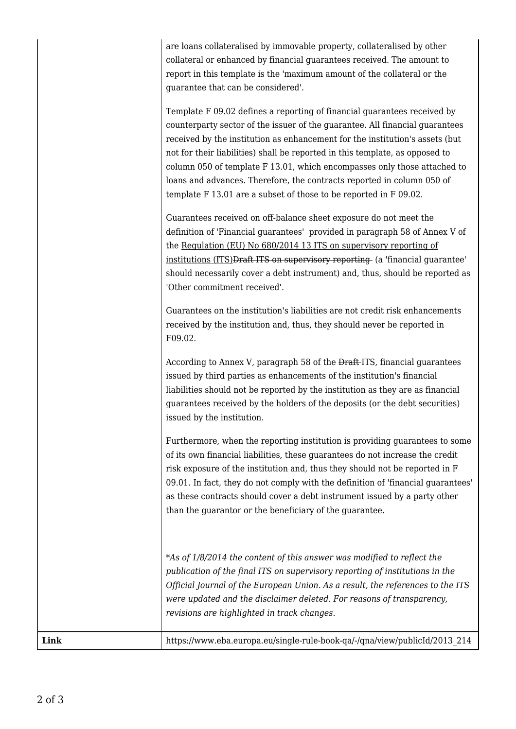are loans collateralised by immovable property, collateralised by other collateral or enhanced by financial guarantees received. The amount to report in this template is the 'maximum amount of the collateral or the guarantee that can be considered'.

Template F 09.02 defines a reporting of financial guarantees received by counterparty sector of the issuer of the guarantee. All financial guarantees received by the institution as enhancement for the institution's assets (but not for their liabilities) shall be reported in this template, as opposed to column 050 of template F 13.01, which encompasses only those attached to loans and advances. Therefore, the contracts reported in column 050 of template F 13.01 are a subset of those to be reported in F 09.02.

Guarantees received on off-balance sheet exposure do not meet the definition of 'Financial guarantees' provided in paragraph 58 of Annex V of the Regulation (EU) No 680/2014 13 ITS on supervisory reporting of institutions (ITS)Draft ITS on supervisory reporting (a 'financial guarantee' should necessarily cover a debt instrument) and, thus, should be reported as 'Other commitment received'.

Guarantees on the institution's liabilities are not credit risk enhancements received by the institution and, thus, they should never be reported in F09.02.

According to Annex V, paragraph 58 of the Draft ITS, financial guarantees issued by third parties as enhancements of the institution's financial liabilities should not be reported by the institution as they are as financial guarantees received by the holders of the deposits (or the debt securities) issued by the institution.

Furthermore, when the reporting institution is providing guarantees to some of its own financial liabilities, these guarantees do not increase the credit risk exposure of the institution and, thus they should not be reported in F 09.01. In fact, they do not comply with the definition of 'financial guarantees' as these contracts should cover a debt instrument issued by a party other than the guarantor or the beneficiary of the guarantee.

*\*As of 1/8/2014 the content of this answer was modified to reflect the publication of the final ITS on supervisory reporting of institutions in the Official Journal of the European Union. As a result, the references to the ITS were updated and the disclaimer deleted. For reasons of transparency, revisions are highlighted in track changes.*

**Link** https://www.eba.europa.eu/single-rule-book-qa/-/qna/view/publicId/2013 214